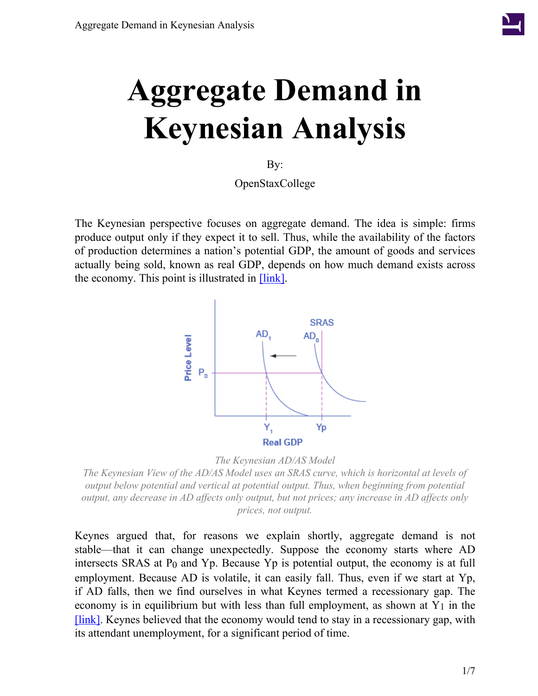

# **Aggregate Demand in Keynesian Analysis**

By:

OpenStaxCollege

<span id="page-0-0"></span>The Keynesian perspective focuses on aggregate demand. The idea is simple: firms produce output only if they expect it to sell. Thus, while the availability of the factors of production determines a nation's potential GDP, the amount of goods and services actually being sold, known as real GDP, depends on how much demand exists across the economy. This point is illustrated in [\[link\]](#page-0-0).



*The Keynesian AD/AS Model*

*The Keynesian View of the AD/AS Model uses an SRAS curve, which is horizontal at levels of output below potential and vertical at potential output. Thus, when beginning from potential output, any decrease in AD affects only output, but not prices; any increase in AD affects only prices, not output.*

Keynes argued that, for reasons we explain shortly, aggregate demand is not stable—that it can change unexpectedly. Suppose the economy starts where AD intersects SRAS at P<sub>0</sub> and Yp. Because Yp is potential output, the economy is at full employment. Because AD is volatile, it can easily fall. Thus, even if we start at Yp, if AD falls, then we find ourselves in what Keynes termed a recessionary gap. The economy is in equilibrium but with less than full employment, as shown at  $Y_1$  in the [\[link\].](#page-0-0) Keynes believed that the economy would tend to stay in a recessionary gap, with its attendant unemployment, for a significant period of time.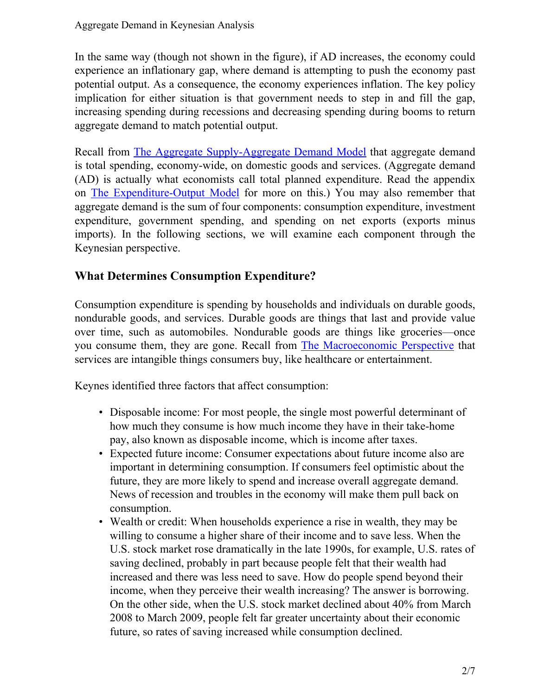In the same way (though not shown in the figure), if AD increases, the economy could experience an inflationary gap, where demand is attempting to push the economy past potential output. As a consequence, the economy experiences inflation. The key policy implication for either situation is that government needs to step in and fill the gap, increasing spending during recessions and decreasing spending during booms to return aggregate demand to match potential output.

Recall from The Aggregate [Supply-Aggregate](/m48739) Demand Model that aggregate demand is total spending, economy-wide, on domestic goods and services. (Aggregate demand (AD) is actually what economists call total planned expenditure. Read the appendix on The [Expenditure-Output](/m48835) Model for more on this.) You may also remember that aggregate demand is the sum of four components: consumption expenditure, investment expenditure, government spending, and spending on net exports (exports minus imports). In the following sections, we will examine each component through the Keynesian perspective.

#### **What Determines Consumption Expenditure?**

Consumption expenditure is spending by households and individuals on durable goods, nondurable goods, and services. Durable goods are things that last and provide value over time, such as automobiles. Nondurable goods are things like groceries—once you consume them, they are gone. Recall from The [Macroeconomic](/m48705) Perspective that services are intangible things consumers buy, like healthcare or entertainment.

Keynes identified three factors that affect consumption:

- Disposable income: For most people, the single most powerful determinant of how much they consume is how much income they have in their take-home pay, also known as disposable income, which is income after taxes.
- Expected future income: Consumer expectations about future income also are important in determining consumption. If consumers feel optimistic about the future, they are more likely to spend and increase overall aggregate demand. News of recession and troubles in the economy will make them pull back on consumption.
- Wealth or credit: When households experience a rise in wealth, they may be willing to consume a higher share of their income and to save less. When the U.S. stock market rose dramatically in the late 1990s, for example, U.S. rates of saving declined, probably in part because people felt that their wealth had increased and there was less need to save. How do people spend beyond their income, when they perceive their wealth increasing? The answer is borrowing. On the other side, when the U.S. stock market declined about 40% from March 2008 to March 2009, people felt far greater uncertainty about their economic future, so rates of saving increased while consumption declined.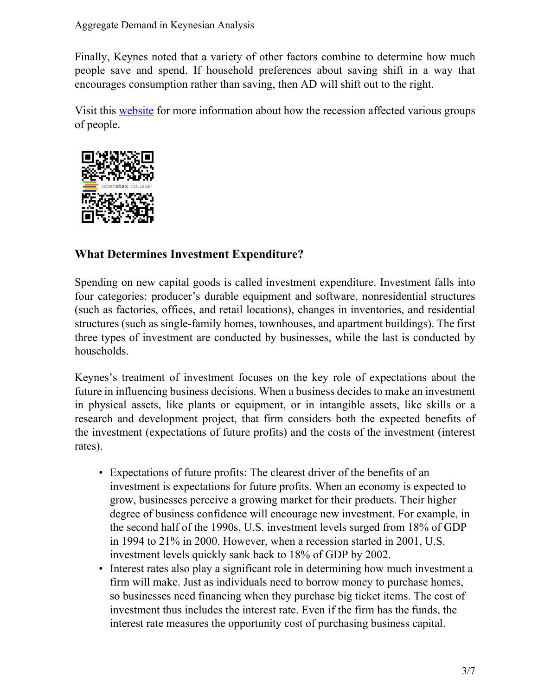Finally, Keynes noted that a variety of other factors combine to determine how much people save and spend. If household preferences about saving shift in a way that encourages consumption rather than saving, then AD will shift out to the right.

Visit this [website](http://openstaxcollege.org/l/Diane_Rehm) for more information about how the recession affected various groups of people.



## **What Determines Investment Expenditure?**

Spending on new capital goods is called investment expenditure. Investment falls into four categories: producer's durable equipment and software, nonresidential structures (such as factories, offices, and retail locations), changes in inventories, and residential structures (such as single-family homes, townhouses, and apartment buildings). The first three types of investment are conducted by businesses, while the last is conducted by households.

Keynes's treatment of investment focuses on the key role of expectations about the future in influencing business decisions. When a business decides to make an investment in physical assets, like plants or equipment, or in intangible assets, like skills or a research and development project, that firm considers both the expected benefits of the investment (expectations of future profits) and the costs of the investment (interest rates).

- Expectations of future profits: The clearest driver of the benefits of an investment is expectations for future profits. When an economy is expected to grow, businesses perceive a growing market for their products. Their higher degree of business confidence will encourage new investment. For example, in the second half of the 1990s, U.S. investment levels surged from 18% of GDP in 1994 to 21% in 2000. However, when a recession started in 2001, U.S. investment levels quickly sank back to 18% of GDP by 2002.
- Interest rates also play a significant role in determining how much investment a firm will make. Just as individuals need to borrow money to purchase homes, so businesses need financing when they purchase big ticket items. The cost of investment thus includes the interest rate. Even if the firm has the funds, the interest rate measures the opportunity cost of purchasing business capital.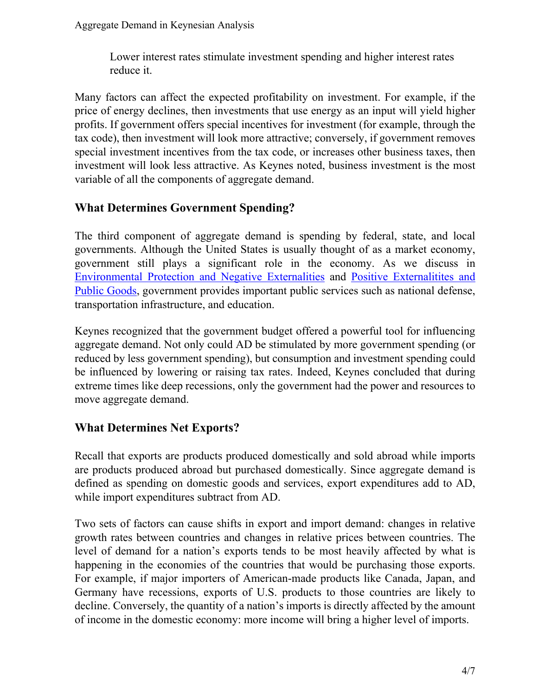Lower interest rates stimulate investment spending and higher interest rates reduce it.

Many factors can affect the expected profitability on investment. For example, if the price of energy declines, then investments that use energy as an input will yield higher profits. If government offers special incentives for investment (for example, through the tax code), then investment will look more attractive; conversely, if government removes special investment incentives from the tax code, or increases other business taxes, then investment will look less attractive. As Keynes noted, business investment is the most variable of all the components of aggregate demand.

## **What Determines Government Spending?**

The third component of aggregate demand is spending by federal, state, and local governments. Although the United States is usually thought of as a market economy, government still plays a significant role in the economy. As we discuss in [Environmental](/m48668) Protection and Negative Externalities and Positive [Externalitites](/m48675) and Public [Goods,](/m48675) government provides important public services such as national defense, transportation infrastructure, and education.

Keynes recognized that the government budget offered a powerful tool for influencing aggregate demand. Not only could AD be stimulated by more government spending (or reduced by less government spending), but consumption and investment spending could be influenced by lowering or raising tax rates. Indeed, Keynes concluded that during extreme times like deep recessions, only the government had the power and resources to move aggregate demand.

## **What Determines Net Exports?**

Recall that exports are products produced domestically and sold abroad while imports are products produced abroad but purchased domestically. Since aggregate demand is defined as spending on domestic goods and services, export expenditures add to AD, while import expenditures subtract from AD.

Two sets of factors can cause shifts in export and import demand: changes in relative growth rates between countries and changes in relative prices between countries. The level of demand for a nation's exports tends to be most heavily affected by what is happening in the economies of the countries that would be purchasing those exports. For example, if major importers of American-made products like Canada, Japan, and Germany have recessions, exports of U.S. products to those countries are likely to decline. Conversely, the quantity of a nation's imports is directly affected by the amount of income in the domestic economy: more income will bring a higher level of imports.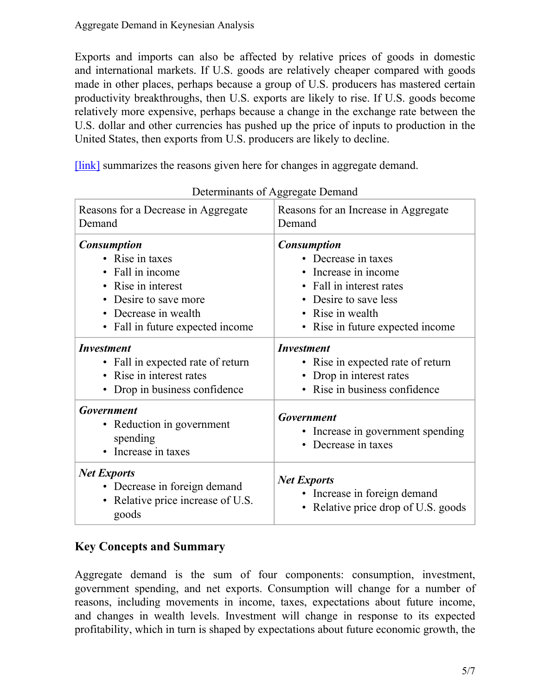Exports and imports can also be affected by relative prices of goods in domestic and international markets. If U.S. goods are relatively cheaper compared with goods made in other places, perhaps because a group of U.S. producers has mastered certain productivity breakthroughs, then U.S. exports are likely to rise. If U.S. goods become relatively more expensive, perhaps because a change in the exchange rate between the U.S. dollar and other currencies has pushed up the price of inputs to production in the United States, then exports from U.S. producers are likely to decline.

[\[link\]](#page-4-0) summarizes the reasons given here for changes in aggregate demand.

<span id="page-4-0"></span>

| Reasons for a Decrease in Aggregate<br>Demand                                                                                                                                                                    | Reasons for an Increase in Aggregate<br>Demand                                                                                                                             |
|------------------------------------------------------------------------------------------------------------------------------------------------------------------------------------------------------------------|----------------------------------------------------------------------------------------------------------------------------------------------------------------------------|
| <b>Consumption</b><br>• Rise in taxes<br>• Fall in income<br>Rise in interest<br>$\bullet$<br>Desire to save more<br>$\bullet$<br>Decrease in wealth<br>$\bullet$<br>Fall in future expected income<br>$\bullet$ | <b>Consumption</b><br>• Decrease in taxes<br>Increase in income<br>Fall in interest rates<br>• Desire to save less<br>• Rise in wealth<br>• Rise in future expected income |
| <b>Investment</b><br>• Fall in expected rate of return<br>• Rise in interest rates<br>Drop in business confidence                                                                                                | <i><b>Investment</b></i><br>• Rise in expected rate of return<br>Drop in interest rates<br>• Rise in business confidence                                                   |
| <b>Government</b><br>• Reduction in government<br>spending<br>Increase in taxes<br>$\bullet$                                                                                                                     | <b>Government</b><br>• Increase in government spending<br>• Decrease in taxes                                                                                              |
| <b>Net Exports</b><br>• Decrease in foreign demand<br>• Relative price increase of U.S.<br>goods                                                                                                                 | <b>Net Exports</b><br>• Increase in foreign demand<br>Relative price drop of U.S. goods                                                                                    |

Determinants of Aggregate Demand

## **Key Concepts and Summary**

Aggregate demand is the sum of four components: consumption, investment, government spending, and net exports. Consumption will change for a number of reasons, including movements in income, taxes, expectations about future income, and changes in wealth levels. Investment will change in response to its expected profitability, which in turn is shaped by expectations about future economic growth, the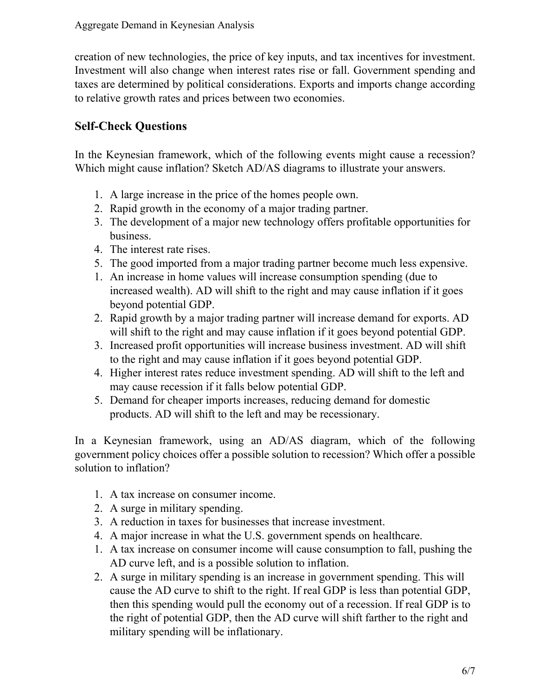creation of new technologies, the price of key inputs, and tax incentives for investment. Investment will also change when interest rates rise or fall. Government spending and taxes are determined by political considerations. Exports and imports change according to relative growth rates and prices between two economies.

#### **Self-Check Questions**

In the Keynesian framework, which of the following events might cause a recession? Which might cause inflation? Sketch AD/AS diagrams to illustrate your answers.

- 1. A large increase in the price of the homes people own.
- 2. Rapid growth in the economy of a major trading partner.
- 3. The development of a major new technology offers profitable opportunities for business.
- 4. The interest rate rises.
- 5. The good imported from a major trading partner become much less expensive.
- 1. An increase in home values will increase consumption spending (due to increased wealth). AD will shift to the right and may cause inflation if it goes beyond potential GDP.
- 2. Rapid growth by a major trading partner will increase demand for exports. AD will shift to the right and may cause inflation if it goes beyond potential GDP.
- 3. Increased profit opportunities will increase business investment. AD will shift to the right and may cause inflation if it goes beyond potential GDP.
- 4. Higher interest rates reduce investment spending. AD will shift to the left and may cause recession if it falls below potential GDP.
- 5. Demand for cheaper imports increases, reducing demand for domestic products. AD will shift to the left and may be recessionary.

In a Keynesian framework, using an AD/AS diagram, which of the following government policy choices offer a possible solution to recession? Which offer a possible solution to inflation?

- 1. A tax increase on consumer income.
- 2. A surge in military spending.
- 3. A reduction in taxes for businesses that increase investment.
- 4. A major increase in what the U.S. government spends on healthcare.
- 1. A tax increase on consumer income will cause consumption to fall, pushing the AD curve left, and is a possible solution to inflation.
- 2. A surge in military spending is an increase in government spending. This will cause the AD curve to shift to the right. If real GDP is less than potential GDP, then this spending would pull the economy out of a recession. If real GDP is to the right of potential GDP, then the AD curve will shift farther to the right and military spending will be inflationary.